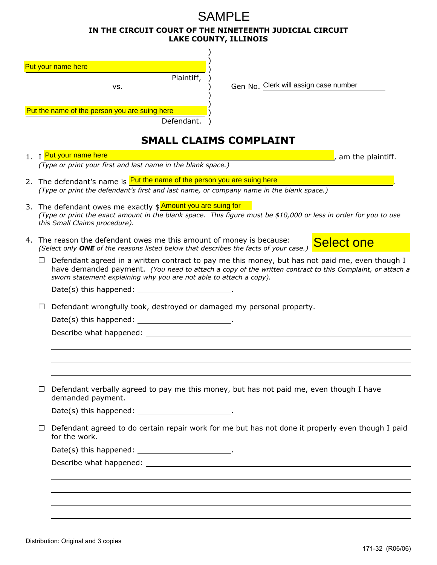## **IN THE CIRCUIT COURT OF THE NINETEENTH JUDICIAL CIRCUIT LAKE COUNTY, ILLINOIS**  SAMPI F

| Put your name here                            |            |  |
|-----------------------------------------------|------------|--|
|                                               | Plaintiff, |  |
| vs.                                           |            |  |
|                                               |            |  |
| Put the name of the person you are suing here |            |  |
|                                               | Defendant. |  |

vs. **Example 21 Constructs** Controllery Gen No. Clerk will assign case number

## **SMALL CLAIMS COMPLAINT 1. I can be a latter than the plaintiff.** *(Type or print your first and last name in the blank space.)* 2. The defendant's name is **Put the name of the person you are suing here the contract of the summan was a set of** *(Type or print the defendant's first and last name, or company name in the blank space.)* 3. The defendant owes me exactly \$ Amount you are suing for *(Type or print the exact amount in the blank space. This figure must be \$10,000 or less in order for you to use this Small Claims procedure).* 4. The reason the defendant owes me this amount of money is because: *(Select only ONE of the reasons listed below that describes the facts of your case.)* □ Defendant agreed in a written contract to pay me this money, but has not paid me, even though I have demanded payment. *(You need to attach a copy of the written contract to this Complaint, or attach a sworn statement explaining why you are not able to attach a copy).* Date(s) this happened: ... ❐ Defendant wrongfully took, destroyed or damaged my personal property. Date(s) this happened: \_\_\_\_\_\_\_\_\_\_\_\_\_\_\_\_\_\_\_\_\_\_. Describe what happened:  $\Box$  Defendant verbally agreed to pay me this money, but has not paid me, even though I have demanded payment. Date(s) this happened: \_\_\_\_\_\_\_\_\_\_\_\_\_\_\_\_\_\_\_\_\_\_.  $\Box$  Defendant agreed to do certain repair work for me but has not done it properly even though I paid for the work. Date(s) this happened: \_\_\_\_\_\_\_\_\_\_\_\_\_\_\_\_\_\_\_\_\_\_. Describe what happened:  $\overline{a}$ 1. I Put your name here Select one